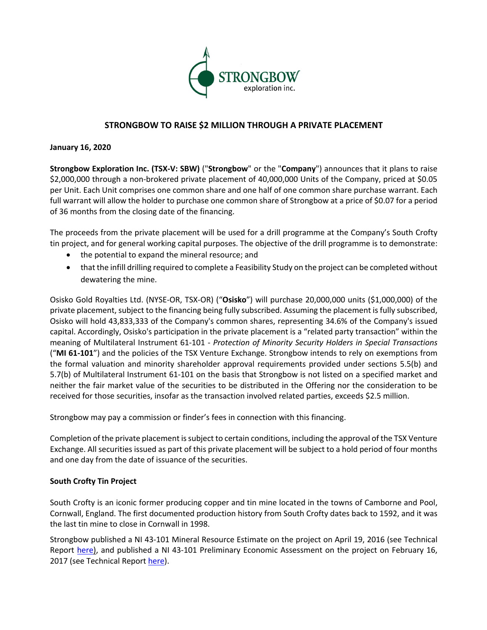

# **STRONGBOW TO RAISE \$2 MILLION THROUGH A PRIVATE PLACEMENT**

### **January 16, 2020**

**Strongbow Exploration Inc. (TSX-V: SBW)** ("**Strongbow**" or the "**Company**") announces that it plans to raise \$2,000,000 through a non-brokered private placement of 40,000,000 Units of the Company, priced at \$0.05 per Unit. Each Unit comprises one common share and one half of one common share purchase warrant. Each full warrant will allow the holder to purchase one common share of Strongbow at a price of \$0.07 for a period of 36 months from the closing date of the financing.

The proceeds from the private placement will be used for a drill programme at the Company's South Crofty tin project, and for general working capital purposes. The objective of the drill programme is to demonstrate:

- the potential to expand the mineral resource; and
- that the infill drilling required to complete a Feasibility Study on the project can be completed without dewatering the mine.

Osisko Gold Royalties Ltd. (NYSE-OR, TSX-OR) ("**Osisko**") will purchase 20,000,000 units (\$1,000,000) of the private placement, subject to the financing being fully subscribed. Assuming the placement is fully subscribed, Osisko will hold 43,833,333 of the Company's common shares, representing 34.6% of the Company's issued capital. Accordingly, Osisko's participation in the private placement is a "related party transaction" within the meaning of Multilateral Instrument 61-101 - *Protection of Minority Security Holders in Special Transactions* ("**MI 61-101**") and the policies of the TSX Venture Exchange. Strongbow intends to rely on exemptions from the formal valuation and minority shareholder approval requirements provided under sections 5.5(b) and 5.7(b) of Multilateral Instrument 61-101 on the basis that Strongbow is not listed on a specified market and neither the fair market value of the securities to be distributed in the Offering nor the consideration to be received for those securities, insofar as the transaction involved related parties, exceeds \$2.5 million.

Strongbow may pay a commission or finder's fees in connection with this financing.

Completion of the private placement is subject to certain conditions, including the approval of the TSX Venture Exchange. All securities issued as part of this private placement will be subject to a hold period of four months and one day from the date of issuance of the securities.

## **South Crofty Tin Project**

South Crofty is an iconic former producing copper and tin mine located in the towns of Camborne and Pool, Cornwall, England. The first documented production history from South Crofty dates back to 1592, and it was the last tin mine to close in Cornwall in 1998.

Strongbow published a NI 43-101 Mineral Resource Estimate on the project on April 19, 2016 (see Technical Report here), and published a NI 43-101 Preliminary Economic Assessment on the project on February 16, 2017 (see Technical Report here).